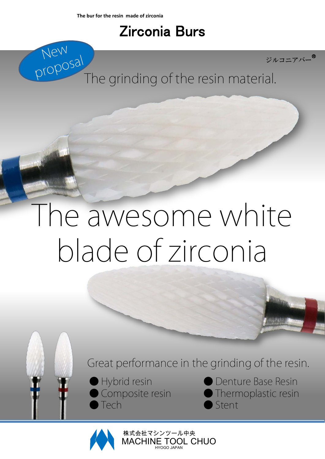New<br>proposal

### Zirconia Burs



The grinding of the resin material.

# The awesome white blade of zirconia

Great performance in the grinding of the resin.

● Hybrid resin Composite resin **Tech** 

Denture Base Resin ● Thermoplastic resin Stent